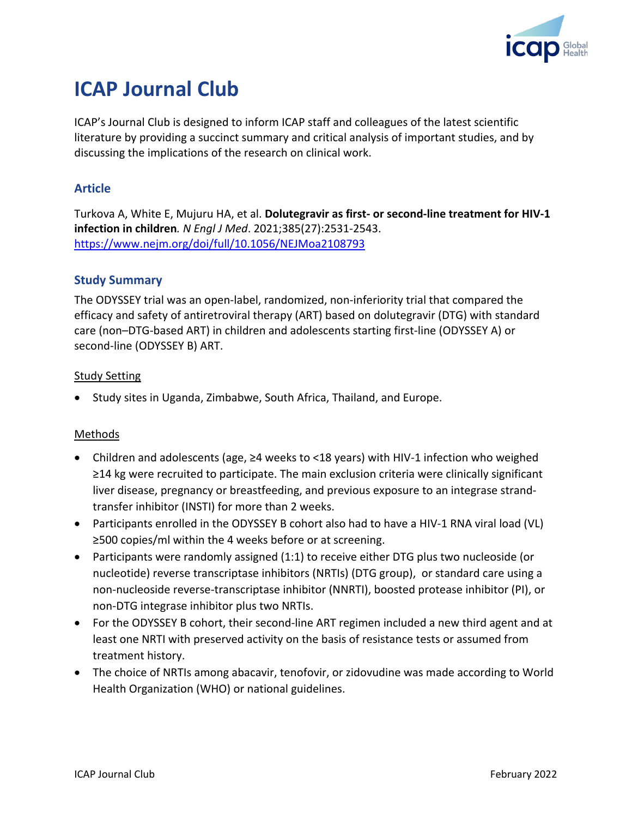

# **ICAP Journal Club**

ICAP's Journal Club is designed to inform ICAP staff and colleagues of the latest scientific literature by providing a succinct summary and critical analysis of important studies, and by discussing the implications of the research on clinical work.

## **Article**

Turkova A, White E, Mujuru HA, et al. **Dolutegravir as first- or second-line treatment for HIV-1 infection in children***. N Engl J Med*. 2021;385(27):2531-2543. <https://www.nejm.org/doi/full/10.1056/NEJMoa2108793>

## **Study Summary**

The ODYSSEY trial was an open-label, randomized, non-inferiority trial that compared the efficacy and safety of antiretroviral therapy (ART) based on dolutegravir (DTG) with standard care (non–DTG-based ART) in children and adolescents starting first-line (ODYSSEY A) or second-line (ODYSSEY B) ART.

#### Study Setting

• Study sites in Uganda, Zimbabwe, South Africa, Thailand, and Europe.

## Methods

- Children and adolescents (age, ≥4 weeks to <18 years) with HIV-1 infection who weighed ≥14 kg were recruited to participate. The main exclusion criteria were clinically significant liver disease, pregnancy or breastfeeding, and previous exposure to an integrase strandtransfer inhibitor (INSTI) for more than 2 weeks.
- Participants enrolled in the ODYSSEY B cohort also had to have a HIV-1 RNA viral load (VL) ≥500 copies/ml within the 4 weeks before or at screening.
- Participants were randomly assigned (1:1) to receive either DTG plus two nucleoside (or nucleotide) reverse transcriptase inhibitors (NRTIs) (DTG group), or standard care using a non-nucleoside reverse-transcriptase inhibitor (NNRTI), boosted protease inhibitor (PI), or non-DTG integrase inhibitor plus two NRTIs.
- For the ODYSSEY B cohort, their second-line ART regimen included a new third agent and at least one NRTI with preserved activity on the basis of resistance tests or assumed from treatment history.
- The choice of NRTIs among abacavir, tenofovir, or zidovudine was made according to World Health Organization (WHO) or national guidelines.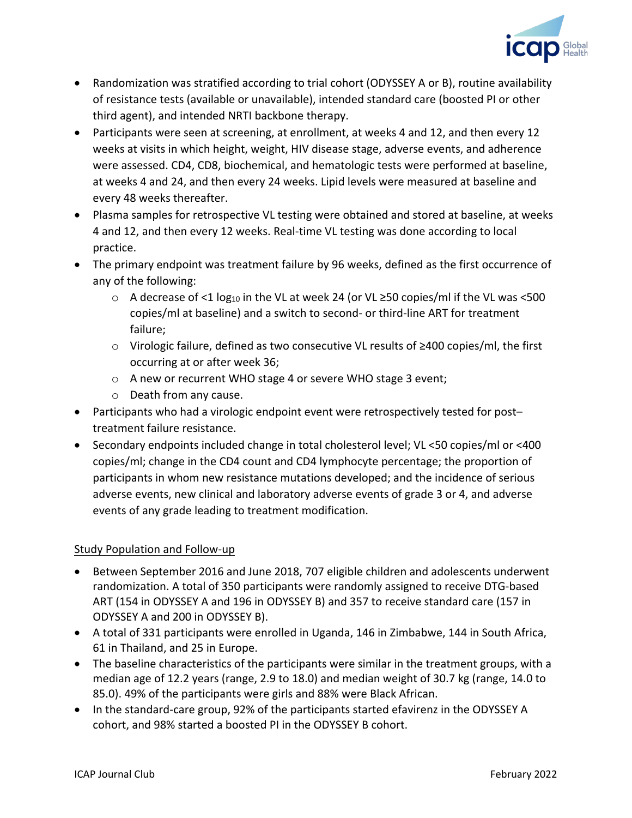

- Randomization was stratified according to trial cohort (ODYSSEY A or B), routine availability of resistance tests (available or unavailable), intended standard care (boosted PI or other third agent), and intended NRTI backbone therapy.
- Participants were seen at screening, at enrollment, at weeks 4 and 12, and then every 12 weeks at visits in which height, weight, HIV disease stage, adverse events, and adherence were assessed. CD4, CD8, biochemical, and hematologic tests were performed at baseline, at weeks 4 and 24, and then every 24 weeks. Lipid levels were measured at baseline and every 48 weeks thereafter.
- Plasma samples for retrospective VL testing were obtained and stored at baseline, at weeks 4 and 12, and then every 12 weeks. Real-time VL testing was done according to local practice.
- The primary endpoint was treatment failure by 96 weeks, defined as the first occurrence of any of the following:
	- $\circ$  A decrease of <1 log<sub>10</sub> in the VL at week 24 (or VL ≥50 copies/ml if the VL was <500 copies/ml at baseline) and a switch to second- or third-line ART for treatment failure;
	- o Virologic failure, defined as two consecutive VL results of ≥400 copies/ml, the first occurring at or after week 36;
	- o A new or recurrent WHO stage 4 or severe WHO stage 3 event;
	- o Death from any cause.
- Participants who had a virologic endpoint event were retrospectively tested for post– treatment failure resistance.
- Secondary endpoints included change in total cholesterol level; VL <50 copies/ml or <400 copies/ml; change in the CD4 count and CD4 lymphocyte percentage; the proportion of participants in whom new resistance mutations developed; and the incidence of serious adverse events, new clinical and laboratory adverse events of grade 3 or 4, and adverse events of any grade leading to treatment modification.

## Study Population and Follow-up

- Between September 2016 and June 2018, 707 eligible children and adolescents underwent randomization. A total of 350 participants were randomly assigned to receive DTG-based ART (154 in ODYSSEY A and 196 in ODYSSEY B) and 357 to receive standard care (157 in ODYSSEY A and 200 in ODYSSEY B).
- A total of 331 participants were enrolled in Uganda, 146 in Zimbabwe, 144 in South Africa, 61 in Thailand, and 25 in Europe.
- The baseline characteristics of the participants were similar in the treatment groups, with a median age of 12.2 years (range, 2.9 to 18.0) and median weight of 30.7 kg (range, 14.0 to 85.0). 49% of the participants were girls and 88% were Black African.
- In the standard-care group, 92% of the participants started efavirenz in the ODYSSEY A cohort, and 98% started a boosted PI in the ODYSSEY B cohort.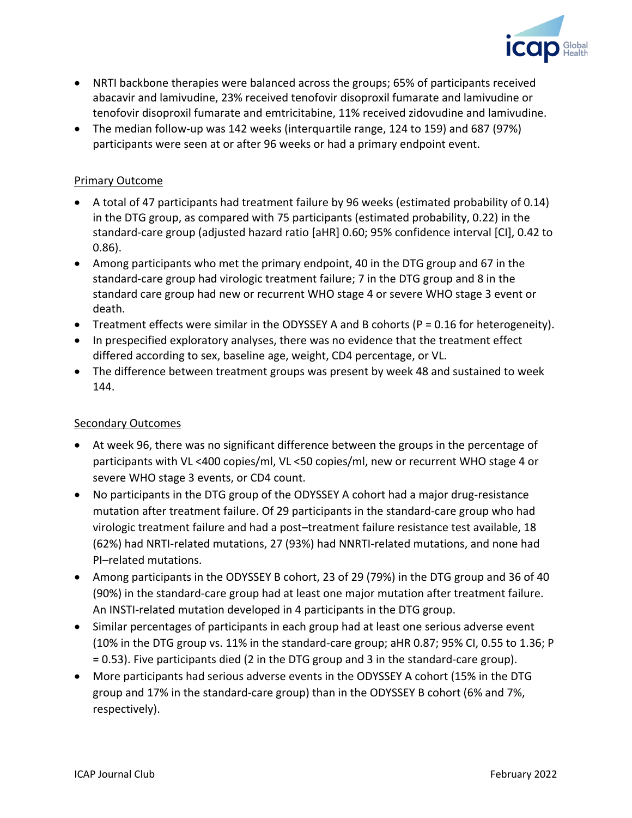

- NRTI backbone therapies were balanced across the groups; 65% of participants received abacavir and lamivudine, 23% received tenofovir disoproxil fumarate and lamivudine or tenofovir disoproxil fumarate and emtricitabine, 11% received zidovudine and lamivudine.
- The median follow-up was 142 weeks (interquartile range, 124 to 159) and 687 (97%) participants were seen at or after 96 weeks or had a primary endpoint event.

#### Primary Outcome

- A total of 47 participants had treatment failure by 96 weeks (estimated probability of 0.14) in the DTG group, as compared with 75 participants (estimated probability, 0.22) in the standard-care group (adjusted hazard ratio [aHR] 0.60; 95% confidence interval [CI], 0.42 to 0.86).
- Among participants who met the primary endpoint, 40 in the DTG group and 67 in the standard-care group had virologic treatment failure; 7 in the DTG group and 8 in the standard care group had new or recurrent WHO stage 4 or severe WHO stage 3 event or death.
- Treatment effects were similar in the ODYSSEY A and B cohorts ( $P = 0.16$  for heterogeneity).
- In prespecified exploratory analyses, there was no evidence that the treatment effect differed according to sex, baseline age, weight, CD4 percentage, or VL.
- The difference between treatment groups was present by week 48 and sustained to week 144.

#### Secondary Outcomes

- At week 96, there was no significant difference between the groups in the percentage of participants with VL <400 copies/ml, VL <50 copies/ml, new or recurrent WHO stage 4 or severe WHO stage 3 events, or CD4 count.
- No participants in the DTG group of the ODYSSEY A cohort had a major drug-resistance mutation after treatment failure. Of 29 participants in the standard-care group who had virologic treatment failure and had a post–treatment failure resistance test available, 18 (62%) had NRTI-related mutations, 27 (93%) had NNRTI-related mutations, and none had PI–related mutations.
- Among participants in the ODYSSEY B cohort, 23 of 29 (79%) in the DTG group and 36 of 40 (90%) in the standard-care group had at least one major mutation after treatment failure. An INSTI-related mutation developed in 4 participants in the DTG group.
- Similar percentages of participants in each group had at least one serious adverse event (10% in the DTG group vs. 11% in the standard-care group; aHR 0.87; 95% CI, 0.55 to 1.36; P = 0.53). Five participants died (2 in the DTG group and 3 in the standard-care group).
- More participants had serious adverse events in the ODYSSEY A cohort (15% in the DTG group and 17% in the standard-care group) than in the ODYSSEY B cohort (6% and 7%, respectively).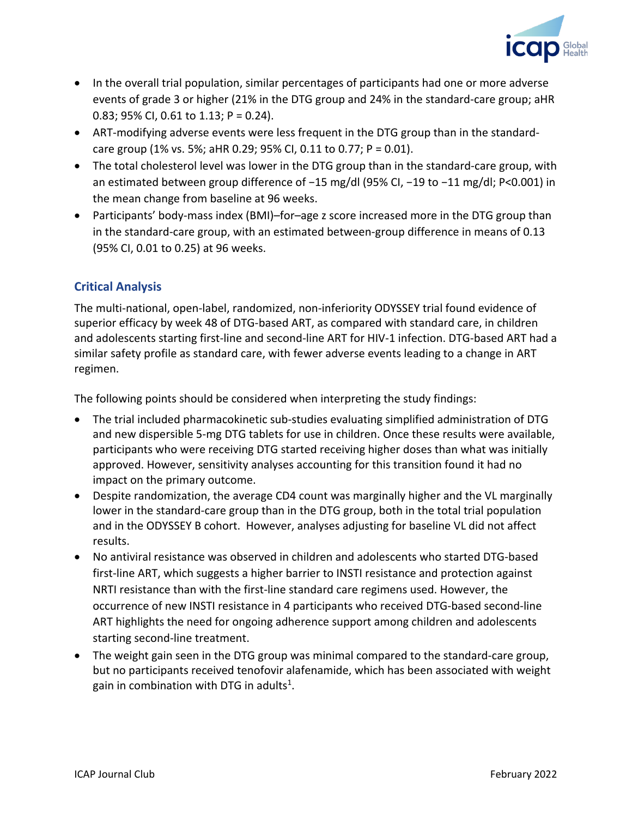

- In the overall trial population, similar percentages of participants had one or more adverse events of grade 3 or higher (21% in the DTG group and 24% in the standard-care group; aHR 0.83; 95% CI, 0.61 to 1.13; P = 0.24).
- ART-modifying adverse events were less frequent in the DTG group than in the standardcare group (1% vs. 5%; aHR 0.29; 95% CI, 0.11 to 0.77; P = 0.01).
- The total cholesterol level was lower in the DTG group than in the standard-care group, with an estimated between group difference of −15 mg/dl (95% CI, −19 to −11 mg/dl; P<0.001) in the mean change from baseline at 96 weeks.
- Participants' body-mass index (BMI)–for–age z score increased more in the DTG group than in the standard-care group, with an estimated between-group difference in means of 0.13 (95% CI, 0.01 to 0.25) at 96 weeks.

## **Critical Analysis**

The multi-national, open-label, randomized, non-inferiority ODYSSEY trial found evidence of superior efficacy by week 48 of DTG-based ART, as compared with standard care, in children and adolescents starting first-line and second-line ART for HIV-1 infection. DTG-based ART had a similar safety profile as standard care, with fewer adverse events leading to a change in ART regimen.

The following points should be considered when interpreting the study findings:

- The trial included pharmacokinetic sub-studies evaluating simplified administration of DTG and new dispersible 5-mg DTG tablets for use in children. Once these results were available, participants who were receiving DTG started receiving higher doses than what was initially approved. However, sensitivity analyses accounting for this transition found it had no impact on the primary outcome.
- Despite randomization, the average CD4 count was marginally higher and the VL marginally lower in the standard-care group than in the DTG group, both in the total trial population and in the ODYSSEY B cohort. However, analyses adjusting for baseline VL did not affect results.
- No antiviral resistance was observed in children and adolescents who started DTG-based first-line ART, which suggests a higher barrier to INSTI resistance and protection against NRTI resistance than with the first-line standard care regimens used. However, the occurrence of new INSTI resistance in 4 participants who received DTG-based second-line ART highlights the need for ongoing adherence support among children and adolescents starting second-line treatment.
- The weight gain seen in the DTG group was minimal compared to the standard-care group, but no participants received tenofovir alafenamide, which has been associated with weight gain in combination with DTG in adults<sup>1</sup>.